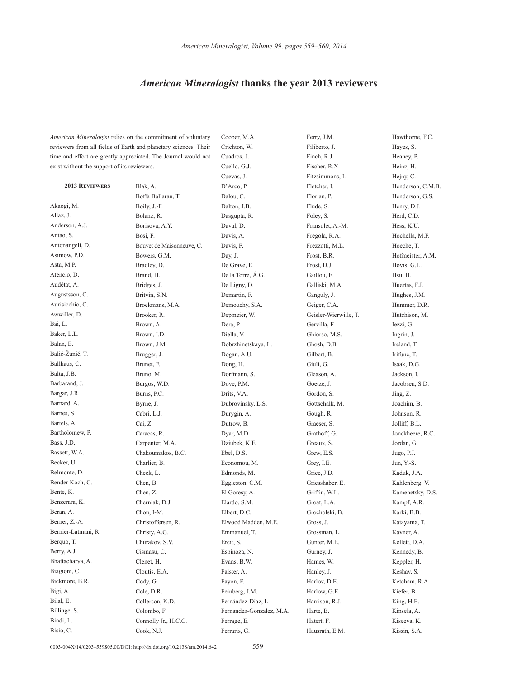## *American Mineralogist* **thanks the year 2013 reviewers**

*American Mineralogist* relies on the commitment of voluntary reviewers from all fields of Earth and planetary sciences. Their time and effort are greatly appreciated. The Journal would not exist without the support of its reviewers.

**2013 Reviewers** Akaogi, M. Allaz, J. Anderson, A.J. Antao, S. Antonangeli, D. Asimow, P.D. Asta, M.P. Atencio, D. Audétat, A. Augustsson, C. Aurisicchio, C. Awwiller, D. Bai, L. Baker, L.L. Balan, E. Balić-Žunić, T. Ballhaus, C. Balta, J.B. Barbarand, J. Bargar, J.R. Barnard, A. Barnes, S. Bartels, A. Bartholomew, P. Bass, J.D. Bassett, W.A. Becker, U. Belmonte, D. Bender Koch, C. Bente, K. Benzerara, K. Beran, A. Berner, Z.-A. Bernier-Latmani, R. Berquo, T. Berry, A.J. Bhattacharya, A. Biagioni, C. Bickmore, B.R. Bigi, A. Bilal, E. Billinge, S. Bindi, L. Bisio, C.

Blak, A. Boffa Ballaran, T. Boily, J.-F. Bolanz, R. Borisova, A.Y. Bosi, F. Bouvet de Maisonneuve, C. Bowers, G.M. Bradley, D. Brand, H. Bridges, J. Britvin, S.N. Broekmans, M.A. Brooker, R. Brown, A. Brown, I.D. Brown, J.M. Brugger, J. Brunet, F. Bruno, M. Burgos, W.D. Burns, P.C. Byrne, J. Cabri, L.J. Cai, Z. Caracas, R. Carpenter, M.A. Chakoumakos, B.C. Charlier, B. Cheek, L. Chen, B. Chen, Z. Cherniak, D.J. Chou, I-M. Christoffersen, R. Christy, A.G. Churakov, S.V. Cismasu, C. Clenet, H. Cloutis, E.A. Cody, G. Cole, D.R. Collerson, K.D. Colombo, F. Connolly Jr., H.C.C. Cook, N.J.

Cooper, M.A. Crichton, W. Cuadros, J. Cuello, G.J. Cuevas, J. D'Arco, P. Dalou, C. Dalton, J.B. Dasgupta, R. Daval, D. Davis, A. Davis, F. Day, J. De Grave, E. De la Torre, Á.G. De Ligny, D. Demartin, F. Demouchy, S.A. Depmeier, W. Dera, P. Diella, V. Dobrzhinetskaya, L. Dogan, A.U. Dong, H. Dorfmann, S. Dove, P.M. Drits, V.A. Dubrovinsky, L.S. Durygin, A. Dutrow, B. Dyar, M.D. Dziubek, K.F. Ebel, D.S. Economou, M. Edmonds, M. Eggleston, C.M. El Goresy, A. Elardo, S.M. Elbert, D.C. Elwood Madden, M.E. Emmanuel, T. Ercit, S. Espinoza, N. Evans, B.W. Falster, A. Fayon, F. Feinberg, J.M. Fernández-Díaz, L. Fernandez-Gonzalez, M.A. Ferrage, E. Ferraris, G.

Ferry, J.M. Filiberto, J. Finch, R.J. Fischer, R.X. Fitzsimmons, I. Fletcher, I. Florian, P. Flude, S. Foley, S. Fransolet, A.-M. Fregola, R.A. Frezzotti, M.L. Frost, B.R. Frost, D.J. Gaillou, E. Galliski, M.A. Ganguly, J. Geiger, C.A. Geisler-Wierwille, T. Gervilla, F. Ghiorso, M.S. Ghosh, D.B. Gilbert, B. Giuli, G. Gleason, A. Goetze, J. Gordon, S. Gottschalk, M. Gough, R. Graeser, S. Grathoff, G. Greaux, S. Grew, E.S. Grey, I.E. Grice, J.D. Griesshaber, E. Griffin, W.L. Groat, L.A. Grocholski, B. Gross, J. Grossman, L. Gunter, M.E. Gurney, J. Hames, W. Hanley, J. Harlov, D.E. Harlow, G.E. Harrison, R.J. Harte, B. Hatert, F. Hausrath, E.M.

Hawthorne,  $FC$ Hayes, S. Heaney, P. Heinz, H. Hejny, C. Henderson, C.M.B. Henderson, G.S. Henry, D.J. Herd, C.D. Hess, K.U. Hochella, M.F. Hoeche, T. Hofmeister, A.M. Hovis, G.L. Hsu, H. Huertas, F.J. Hughes, J.M. Hummer, D.R. Hutchison, M. Iezzi, G. Ingrin, J. Ireland, T. Irifune, T. Isaak, D.G. Jackson, I. Jacobsen, S.D. Jing, Z. Joachim, B. Johnson, R. Jolliff, B.L. Jonckheere, R.C. Jordan, G. Jugo, P.J. Jun, Y.-S. Kaduk, J.A. Kahlenberg, V. Kamenetsky, D.S. Kampf, A.R. Karki, B.B. Katayama, T. Kavner, A. Kellett, D.A. Kennedy, B. Keppler, H. Keshav, S. Ketcham, R.A. Kiefer, B. King, H.E. Kinsela, A. Kiseeva, K. Kissin, S.A.